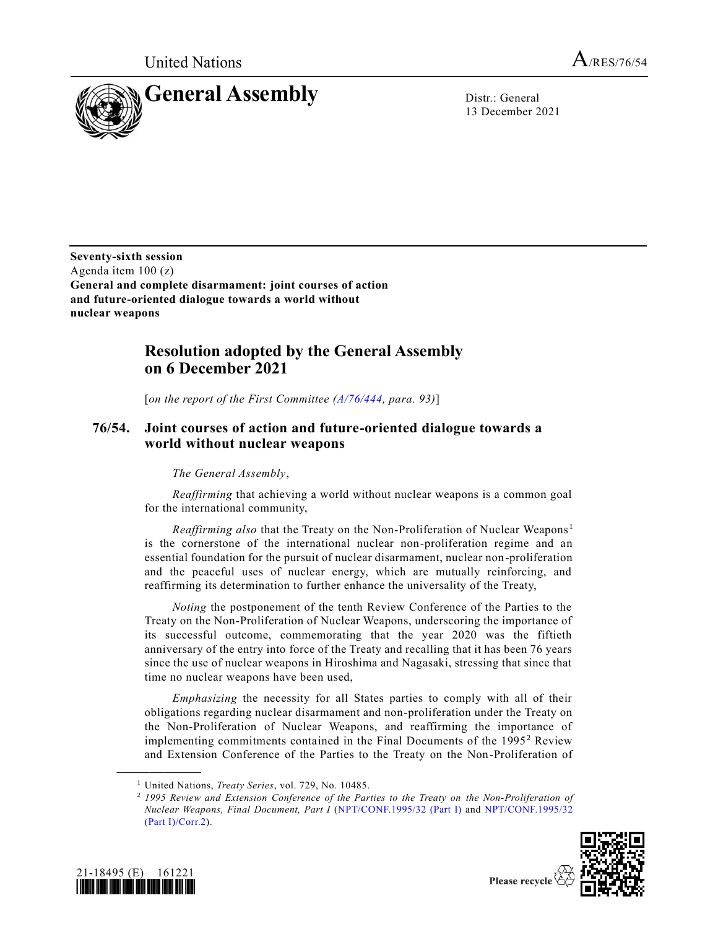

13 December 2021

**Seventy-sixth session** Agenda item 100 (z) **General and complete disarmament: joint courses of action and future-oriented dialogue towards a world without nuclear weapons**

## **Resolution adopted by the General Assembly on 6 December 2021**

[*on the report of the First Committee [\(A/76/444,](https://undocs.org/en/A/76/444) para. 93)*]

## **76/54. Joint courses of action and future-oriented dialogue towards a world without nuclear weapons**

## *The General Assembly*,

*Reaffirming* that achieving a world without nuclear weapons is a common goal for the international community,

*Reaffirming also* that the Treaty on the Non-Proliferation of Nuclear Weapons <sup>1</sup> is the cornerstone of the international nuclear non-proliferation regime and an essential foundation for the pursuit of nuclear disarmament, nuclear non-proliferation and the peaceful uses of nuclear energy, which are mutually reinforcing, and reaffirming its determination to further enhance the universality of the Treaty,

*Noting* the postponement of the tenth Review Conference of the Parties to the Treaty on the Non-Proliferation of Nuclear Weapons, underscoring the importance of its successful outcome, commemorating that the year 2020 was the fiftieth anniversary of the entry into force of the Treaty and recalling that it has been 76 years since the use of nuclear weapons in Hiroshima and Nagasaki, stressing that since that time no nuclear weapons have been used,

*Emphasizing* the necessity for all States parties to comply with all of their obligations regarding nuclear disarmament and non-proliferation under the Treaty on the Non-Proliferation of Nuclear Weapons, and reaffirming the importance of implementing commitments contained in the Final Documents of the 1995<sup>2</sup> Review and Extension Conference of the Parties to the Treaty on the Non-Proliferation of

<sup>2</sup> *1995 Review and Extension Conference of the Parties to the Treaty on the Non-Proliferation of Nuclear Weapons, Final Document, Part I* [\(NPT/CONF.1995/32 \(Part I\)](https://undocs.org/en/NPT/CONF.1995/32(PartI)) and [NPT/CONF.1995/32](https://undocs.org/en/NPT/CONF.1995/32(PartI)/Corr.2)  [\(Part I\)/Corr.2\)](https://undocs.org/en/NPT/CONF.1995/32(PartI)/Corr.2).



**\_\_\_\_\_\_\_\_\_\_\_\_\_\_\_\_\_\_**



Please recycle  $\langle$ 

<sup>1</sup> United Nations, *Treaty Series*, vol. 729, No. 10485.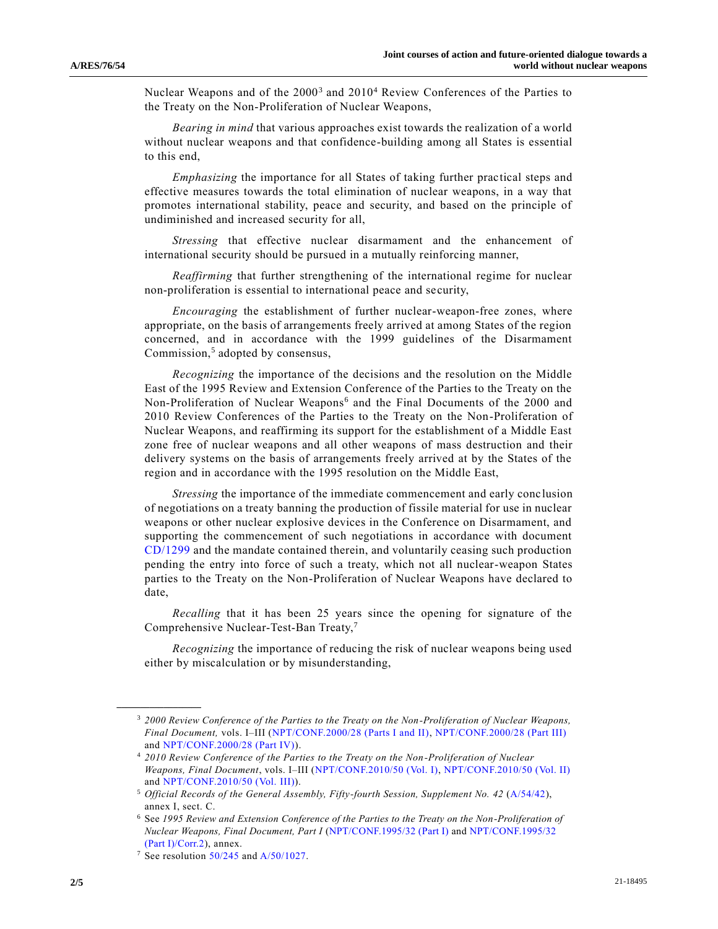Nuclear Weapons and of the 2000<sup>3</sup> and 2010<sup>4</sup> Review Conferences of the Parties to the Treaty on the Non-Proliferation of Nuclear Weapons,

*Bearing in mind* that various approaches exist towards the realization of a world without nuclear weapons and that confidence-building among all States is essential to this end,

*Emphasizing* the importance for all States of taking further practical steps and effective measures towards the total elimination of nuclear weapons, in a way that promotes international stability, peace and security, and based on the principle of undiminished and increased security for all,

*Stressing* that effective nuclear disarmament and the enhancement of international security should be pursued in a mutually reinforcing manner,

*Reaffirming* that further strengthening of the international regime for nuclear non-proliferation is essential to international peace and security,

*Encouraging* the establishment of further nuclear-weapon-free zones, where appropriate, on the basis of arrangements freely arrived at among States of the region concerned, and in accordance with the 1999 guidelines of the Disarmament Commission,<sup>5</sup> adopted by consensus,

*Recognizing* the importance of the decisions and the resolution on the Middle East of the 1995 Review and Extension Conference of the Parties to the Treaty on the Non-Proliferation of Nuclear Weapons<sup>6</sup> and the Final Documents of the 2000 and 2010 Review Conferences of the Parties to the Treaty on the Non-Proliferation of Nuclear Weapons, and reaffirming its support for the establishment of a Middle East zone free of nuclear weapons and all other weapons of mass destruction and their delivery systems on the basis of arrangements freely arrived at by the States of the region and in accordance with the 1995 resolution on the Middle East,

*Stressing* the importance of the immediate commencement and early conclusion of negotiations on a treaty banning the production of fissile material for use in nuclear weapons or other nuclear explosive devices in the Conference on Disarmament, and supporting the commencement of such negotiations in accordance with document [CD/1299](https://undocs.org/en/CD/1299) and the mandate contained therein, and voluntarily ceasing such production pending the entry into force of such a treaty, which not all nuclear-weapon States parties to the Treaty on the Non-Proliferation of Nuclear Weapons have declared to date,

*Recalling* that it has been 25 years since the opening for signature of the Comprehensive Nuclear-Test-Ban Treaty,<sup>7</sup>

*Recognizing* the importance of reducing the risk of nuclear weapons being used either by miscalculation or by misunderstanding,

**\_\_\_\_\_\_\_\_\_\_\_\_\_\_\_\_\_\_**

<sup>3</sup> *2000 Review Conference of the Parties to the Treaty on the Non-Proliferation of Nuclear Weapons, Final Document,* vols. I–III [\(NPT/CONF.2000/28 \(Parts I and II\),](https://undocs.org/en/NPT/CONF.2000/28(Parts%20I%20and%20II)) [NPT/CONF.2000/28 \(Part III\)](https://undocs.org/en/NPT/CONF.2000/28(PartIII)) and [NPT/CONF.2000/28 \(Part IV\)\)](https://undocs.org/en/NPT/CONF.2000/28(PartIV)).

<sup>4</sup> *2010 Review Conference of the Parties to the Treaty on the Non-Proliferation of Nuclear Weapons, Final Document*, vols. I–III [\(NPT/CONF.2010/50 \(Vol. I\),](https://undocs.org/en/NPT/CONF.2010/50(Vol.I)) [NPT/CONF.2010/50 \(Vol. II\)](https://undocs.org/en/NPT/CONF.2010/50(Vol.II)) and [NPT/CONF.2010/50 \(Vol. III\)\)](https://undocs.org/en/NPT/CONF.2010/50(Vol.III)).

<sup>5</sup> *Official Records of the General Assembly, Fifty-fourth Session, Supplement No. 42* [\(A/54/42\)](https://undocs.org/en/A/54/42(supp)), annex I, sect. C.

<sup>6</sup> See *1995 Review and Extension Conference of the Parties to the Treaty on the Non-Proliferation of Nuclear Weapons, Final Document, Part I* [\(NPT/CONF.1995/32 \(Part I\)](https://undocs.org/en/NPT/CONF.1995/32(PartI)) an[d NPT/CONF.1995/32](https://undocs.org/en/NPT/CONF.1995/32(PartI)/Corr.2)  [\(Part I\)/Corr.2\)](https://undocs.org/en/NPT/CONF.1995/32(PartI)/Corr.2), annex.

<sup>&</sup>lt;sup>7</sup> See resolution  $50/245$  and  $A/50/1027$ .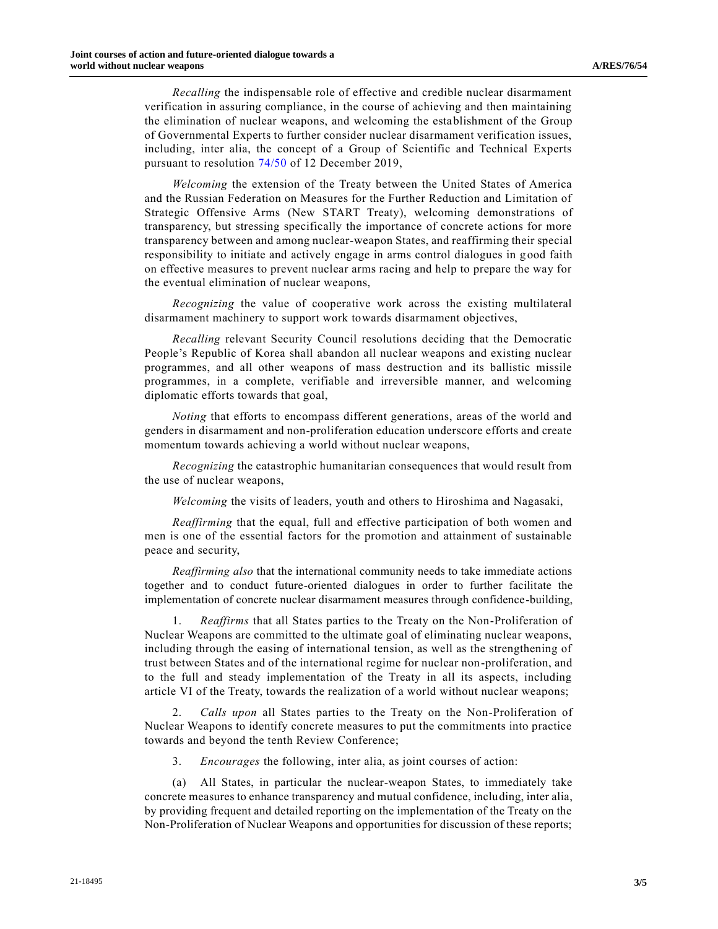*Recalling* the indispensable role of effective and credible nuclear disarmament verification in assuring compliance, in the course of achieving and then maintaining the elimination of nuclear weapons, and welcoming the establishment of the Group of Governmental Experts to further consider nuclear disarmament verification issues, including, inter alia, the concept of a Group of Scientific and Technical Experts pursuant to resolution [74/50](https://undocs.org/en/A/RES/74/50) of 12 December 2019,

*Welcoming* the extension of the Treaty between the United States of America and the Russian Federation on Measures for the Further Reduction and Limitation of Strategic Offensive Arms (New START Treaty), welcoming demonstrations of transparency, but stressing specifically the importance of concrete actions for more transparency between and among nuclear-weapon States, and reaffirming their special responsibility to initiate and actively engage in arms control dialogues in good faith on effective measures to prevent nuclear arms racing and help to prepare the way for the eventual elimination of nuclear weapons,

*Recognizing* the value of cooperative work across the existing multilateral disarmament machinery to support work towards disarmament objectives,

*Recalling* relevant Security Council resolutions deciding that the Democratic People's Republic of Korea shall abandon all nuclear weapons and existing nuclear programmes, and all other weapons of mass destruction and its ballistic missile programmes, in a complete, verifiable and irreversible manner, and welcoming diplomatic efforts towards that goal,

*Noting* that efforts to encompass different generations, areas of the world and genders in disarmament and non-proliferation education underscore efforts and create momentum towards achieving a world without nuclear weapons,

*Recognizing* the catastrophic humanitarian consequences that would result from the use of nuclear weapons,

*Welcoming* the visits of leaders, youth and others to Hiroshima and Nagasaki,

*Reaffirming* that the equal, full and effective participation of both women and men is one of the essential factors for the promotion and attainment of sustainable peace and security,

*Reaffirming also* that the international community needs to take immediate actions together and to conduct future-oriented dialogues in order to further facilitate the implementation of concrete nuclear disarmament measures through confidence-building,

1. *Reaffirms* that all States parties to the Treaty on the Non-Proliferation of Nuclear Weapons are committed to the ultimate goal of eliminating nuclear weapons, including through the easing of international tension, as well as the strengthening of trust between States and of the international regime for nuclear non-proliferation, and to the full and steady implementation of the Treaty in all its aspects, including article VI of the Treaty, towards the realization of a world without nuclear weapons;

2. *Calls upon* all States parties to the Treaty on the Non-Proliferation of Nuclear Weapons to identify concrete measures to put the commitments into practice towards and beyond the tenth Review Conference;

3. *Encourages* the following, inter alia, as joint courses of action:

(a) All States, in particular the nuclear-weapon States, to immediately take concrete measures to enhance transparency and mutual confidence, including, inter alia, by providing frequent and detailed reporting on the implementation of the Treaty on the Non-Proliferation of Nuclear Weapons and opportunities for discussion of these reports;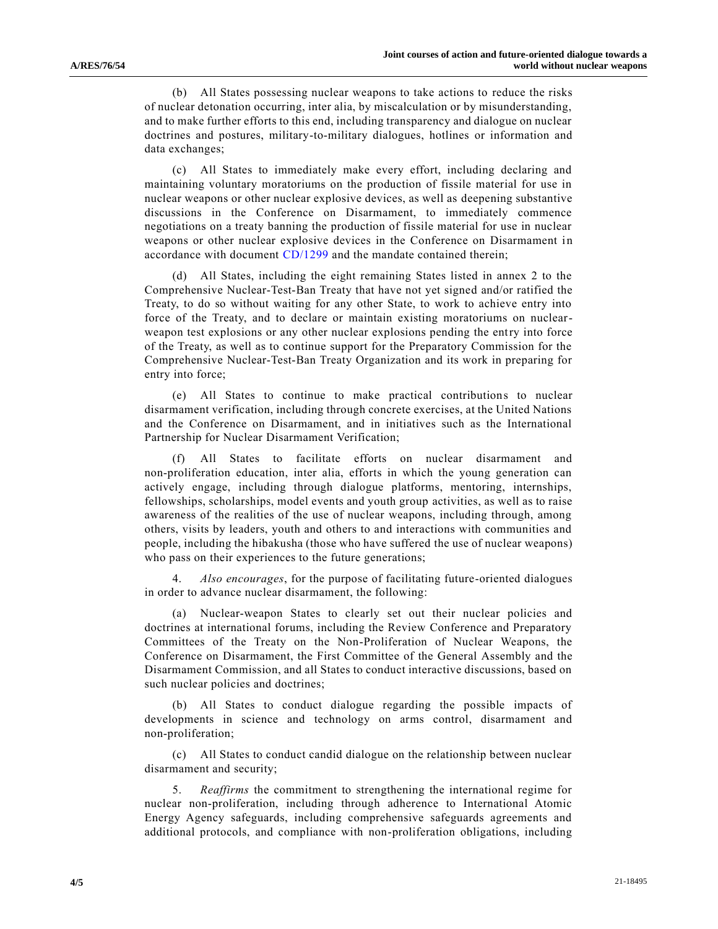(b) All States possessing nuclear weapons to take actions to reduce the risks of nuclear detonation occurring, inter alia, by miscalculation or by misunderstanding, and to make further efforts to this end, including transparency and dialogue on nuclear doctrines and postures, military-to-military dialogues, hotlines or information and data exchanges;

(c) All States to immediately make every effort, including declaring and maintaining voluntary moratoriums on the production of fissile material for use in nuclear weapons or other nuclear explosive devices, as well as deepening substantive discussions in the Conference on Disarmament, to immediately commence negotiations on a treaty banning the production of fissile material for use in nuclear weapons or other nuclear explosive devices in the Conference on Disarmament in accordance with document [CD/1299](https://undocs.org/en/CD/1299) and the mandate contained therein;

(d) All States, including the eight remaining States listed in annex 2 to the Comprehensive Nuclear-Test-Ban Treaty that have not yet signed and/or ratified the Treaty, to do so without waiting for any other State, to work to achieve entry into force of the Treaty, and to declare or maintain existing moratoriums on nuclearweapon test explosions or any other nuclear explosions pending the entry into force of the Treaty, as well as to continue support for the Preparatory Commission for the Comprehensive Nuclear-Test-Ban Treaty Organization and its work in preparing for entry into force;

(e) All States to continue to make practical contributions to nuclear disarmament verification, including through concrete exercises, at the United Nations and the Conference on Disarmament, and in initiatives such as the International Partnership for Nuclear Disarmament Verification;

(f) All States to facilitate efforts on nuclear disarmament and non-proliferation education, inter alia, efforts in which the young generation can actively engage, including through dialogue platforms, mentoring, internships, fellowships, scholarships, model events and youth group activities, as well as to raise awareness of the realities of the use of nuclear weapons, including through, among others, visits by leaders, youth and others to and interactions with communities and people, including the hibakusha (those who have suffered the use of nuclear weapons) who pass on their experiences to the future generations;

4. *Also encourages*, for the purpose of facilitating future-oriented dialogues in order to advance nuclear disarmament, the following:

(a) Nuclear-weapon States to clearly set out their nuclear policies and doctrines at international forums, including the Review Conference and Preparatory Committees of the Treaty on the Non-Proliferation of Nuclear Weapons, the Conference on Disarmament, the First Committee of the General Assembly and the Disarmament Commission, and all States to conduct interactive discussions, based on such nuclear policies and doctrines;

(b) All States to conduct dialogue regarding the possible impacts of developments in science and technology on arms control, disarmament and non-proliferation;

(c) All States to conduct candid dialogue on the relationship between nuclear disarmament and security;

5. *Reaffirms* the commitment to strengthening the international regime for nuclear non-proliferation, including through adherence to International Atomic Energy Agency safeguards, including comprehensive safeguards agreements and additional protocols, and compliance with non-proliferation obligations, including